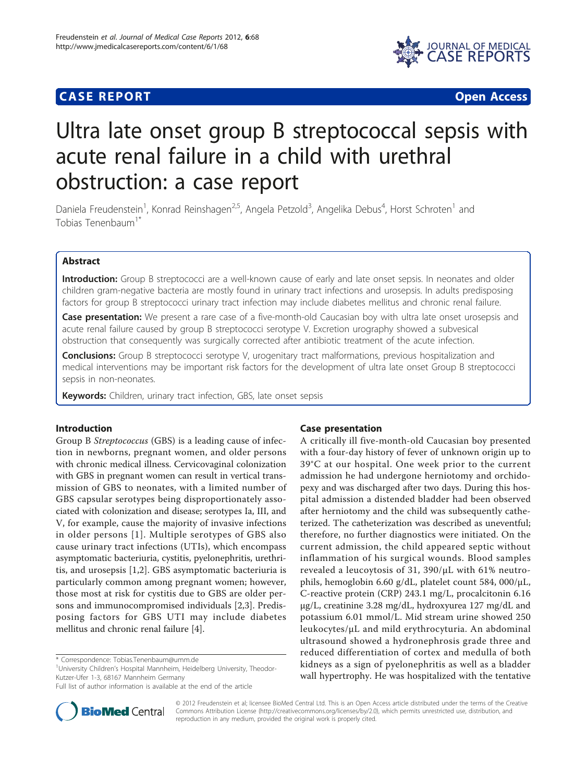# **CASE REPORT CASE REPORT** And the contract of the contract of the contract of the contract of the contract of the contract of the contract of the contract of the contract of the contract of the contract of the contract of



# Ultra late onset group B streptococcal sepsis with acute renal failure in a child with urethral obstruction: a case report

Daniela Freudenstein<sup>1</sup>, Konrad Reinshagen<sup>2,5</sup>, Angela Petzold<sup>3</sup>, Angelika Debus<sup>4</sup>, Horst Schroten<sup>1</sup> and Tobias Tenenbaum<sup>1\*</sup>

# Abstract

Introduction: Group B streptococci are a well-known cause of early and late onset sepsis. In neonates and older children gram-negative bacteria are mostly found in urinary tract infections and urosepsis. In adults predisposing factors for group B streptococci urinary tract infection may include diabetes mellitus and chronic renal failure.

Case presentation: We present a rare case of a five-month-old Caucasian boy with ultra late onset urosepsis and acute renal failure caused by group B streptococci serotype V. Excretion urography showed a subvesical obstruction that consequently was surgically corrected after antibiotic treatment of the acute infection.

**Conclusions:** Group B streptococci serotype V, urogenitary tract malformations, previous hospitalization and medical interventions may be important risk factors for the development of ultra late onset Group B streptococci sepsis in non-neonates.

Keywords: Children, urinary tract infection, GBS, late onset sepsis

# Introduction

Group B Streptococcus (GBS) is a leading cause of infection in newborns, pregnant women, and older persons with chronic medical illness. Cervicovaginal colonization with GBS in pregnant women can result in vertical transmission of GBS to neonates, with a limited number of GBS capsular serotypes being disproportionately associated with colonization and disease; serotypes Ia, III, and V, for example, cause the majority of invasive infections in older persons [[1](#page-2-0)]. Multiple serotypes of GBS also cause urinary tract infections (UTIs), which encompass asymptomatic bacteriuria, cystitis, pyelonephritis, urethritis, and urosepsis [\[1,2](#page-2-0)]. GBS asymptomatic bacteriuria is particularly common among pregnant women; however, those most at risk for cystitis due to GBS are older persons and immunocompromised individuals [[2,3](#page-2-0)]. Predisposing factors for GBS UTI may include diabetes mellitus and chronic renal failure [\[4](#page-2-0)].

<sup>1</sup>University Children's Hospital Mannheim, Heidelberg University, Theodor-Kutzer-Ufer 1-3, 68167 Mannheim Germany



A critically ill five-month-old Caucasian boy presented with a four-day history of fever of unknown origin up to 39°C at our hospital. One week prior to the current admission he had undergone herniotomy and orchidopexy and was discharged after two days. During this hospital admission a distended bladder had been observed after herniotomy and the child was subsequently catheterized. The catheterization was described as uneventful; therefore, no further diagnostics were initiated. On the current admission, the child appeared septic without inflammation of his surgical wounds. Blood samples revealed a leucoytosis of 31, 390/μL with 61% neutrophils, hemoglobin 6.60 g/dL, platelet count 584, 000/μL, C-reactive protein (CRP) 243.1 mg/L, procalcitonin 6.16 μg/L, creatinine 3.28 mg/dL, hydroxyurea 127 mg/dL and potassium 6.01 mmol/L. Mid stream urine showed 250 leukocytes/μL and mild erythrocyturia. An abdominal ultrasound showed a hydronephrosis grade three and reduced differentiation of cortex and medulla of both kidneys as a sign of pyelonephritis as well as a bladder wall hypertrophy. He was hospitalized with the tentative



© 2012 Freudenstein et al; licensee BioMed Central Ltd. This is an Open Access article distributed under the terms of the Creative Commons Attribution License [\(http://creativecommons.org/licenses/by/2.0](http://creativecommons.org/licenses/by/2.0)), which permits unrestricted use, distribution, and reproduction in any medium, provided the original work is properly cited.

<sup>\*</sup> Correspondence: [Tobias.Tenenbaum@umm.de](mailto:Tobias.Tenenbaum@umm.de)

Full list of author information is available at the end of the article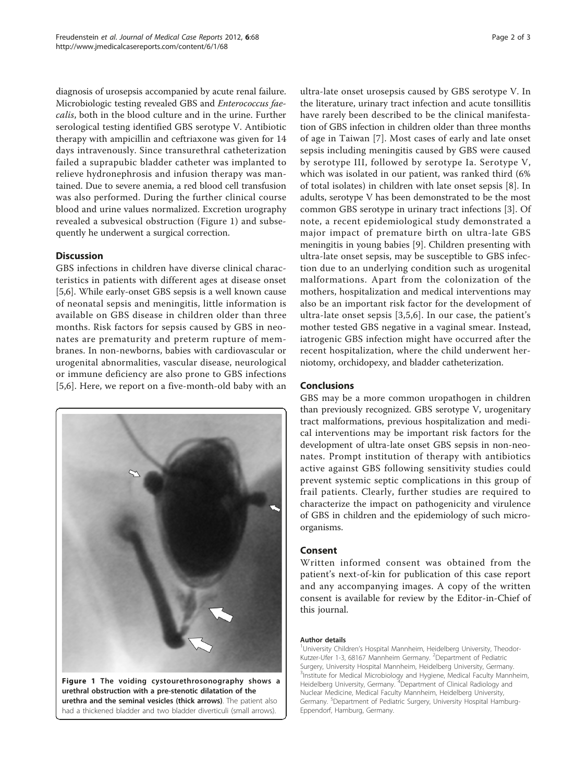diagnosis of urosepsis accompanied by acute renal failure. Microbiologic testing revealed GBS and Enterococcus faecalis, both in the blood culture and in the urine. Further serological testing identified GBS serotype V. Antibiotic therapy with ampicillin and ceftriaxone was given for 14 days intravenously. Since transurethral catheterization failed a suprapubic bladder catheter was implanted to relieve hydronephrosis and infusion therapy was mantained. Due to severe anemia, a red blood cell transfusion was also performed. During the further clinical course blood and urine values normalized. Excretion urography revealed a subvesical obstruction (Figure 1) and subsequently he underwent a surgical correction.

# **Discussion**

GBS infections in children have diverse clinical characteristics in patients with different ages at disease onset [[5,6\]](#page-2-0). While early-onset GBS sepsis is a well known cause of neonatal sepsis and meningitis, little information is available on GBS disease in children older than three months. Risk factors for sepsis caused by GBS in neonates are prematurity and preterm rupture of membranes. In non-newborns, babies with cardiovascular or urogenital abnormalities, vascular disease, neurological or immune deficiency are also prone to GBS infections [[5,6](#page-2-0)]. Here, we report on a five-month-old baby with an





ultra-late onset urosepsis caused by GBS serotype V. In the literature, urinary tract infection and acute tonsillitis have rarely been described to be the clinical manifestation of GBS infection in children older than three months of age in Taiwan [[7\]](#page-2-0). Most cases of early and late onset sepsis including meningitis caused by GBS were caused by serotype III, followed by serotype Ia. Serotype V, which was isolated in our patient, was ranked third (6% of total isolates) in children with late onset sepsis [\[8](#page-2-0)]. In adults, serotype V has been demonstrated to be the most common GBS serotype in urinary tract infections [[3\]](#page-2-0). Of note, a recent epidemiological study demonstrated a major impact of premature birth on ultra-late GBS meningitis in young babies [[9\]](#page-2-0). Children presenting with ultra-late onset sepsis, may be susceptible to GBS infection due to an underlying condition such as urogenital malformations. Apart from the colonization of the mothers, hospitalization and medical interventions may also be an important risk factor for the development of ultra-late onset sepsis [\[3](#page-2-0),[5,6](#page-2-0)]. In our case, the patient's mother tested GBS negative in a vaginal smear. Instead, iatrogenic GBS infection might have occurred after the recent hospitalization, where the child underwent herniotomy, orchidopexy, and bladder catheterization.

## Conclusions

GBS may be a more common uropathogen in children than previously recognized. GBS serotype V, urogenitary tract malformations, previous hospitalization and medical interventions may be important risk factors for the development of ultra-late onset GBS sepsis in non-neonates. Prompt institution of therapy with antibiotics active against GBS following sensitivity studies could prevent systemic septic complications in this group of frail patients. Clearly, further studies are required to characterize the impact on pathogenicity and virulence of GBS in children and the epidemiology of such microorganisms.

# Consent

Written informed consent was obtained from the patient's next-of-kin for publication of this case report and any accompanying images. A copy of the written consent is available for review by the Editor-in-Chief of this journal.

#### Author details

<sup>1</sup>University Children's Hospital Mannheim, Heidelberg University, Theodor-Kutzer-Ufer 1-3, 68167 Mannheim Germany. <sup>2</sup>Department of Pediatric Surgery, University Hospital Mannheim, Heidelberg University, Germany. <sup>3</sup>Institute for Medical Microbiology and Hygiene, Medical Faculty Mannheim, Heidelberg University, Germany. <sup>4</sup>Department of Clinical Radiology and Nuclear Medicine, Medical Faculty Mannheim, Heidelberg University, Germany. <sup>5</sup>Department of Pediatric Surgery, University Hospital Hamburg-Eppendorf, Hamburg, Germany.